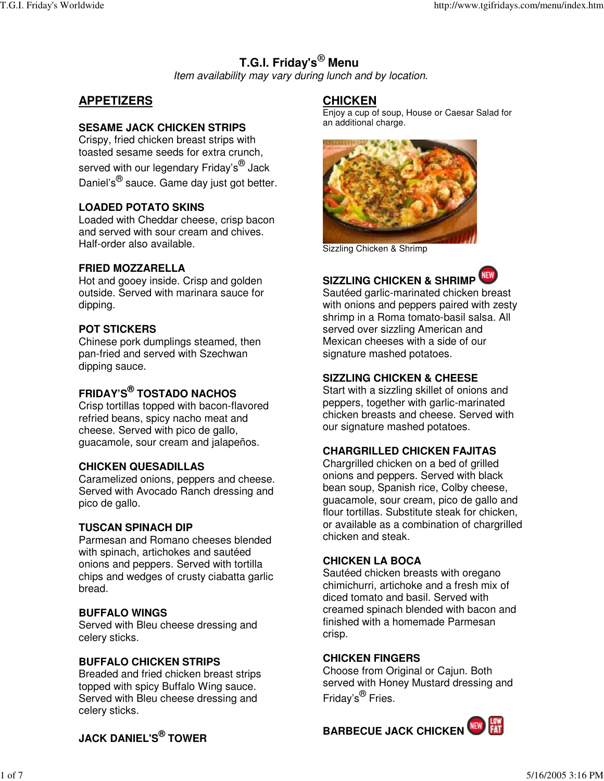# **T.G.I. Friday's ® Menu**

*Item availability may vary during lunch and by location.*

#### **APPETIZERS**

#### **SESAME JACK CHICKEN STRIPS**

Crispy, fried chicken breast strips with toasted sesame seeds for extra crunch, served with our legendary Friday's<sup>®</sup> Jack Daniel's<sup>®</sup> sauce. Game day just got better.

#### **LOADED POTATO SKINS**

Loaded with Cheddar cheese, crisp bacon and served with sour cream and chives. Half-order also available.

#### **FRIED MOZZARELLA**

Hot and gooey inside. Crisp and golden outside. Served with marinara sauce for dipping.

#### **POT STICKERS**

Chinese pork dumplings steamed, then pan-fried and served with Szechwan dipping sauce.

### **FRIDAY'S ® TOSTADO NACHOS**

Crisp tortillas topped with bacon-flavored refried beans, spicy nacho meat and cheese. Served with pico de gallo, guacamole, sour cream and jalapeños.

#### **CHICKEN QUESADILLAS**

Caramelized onions, peppers and cheese. Served with Avocado Ranch dressing and pico de gallo.

#### **TUSCAN SPINACH DIP**

Parmesan and Romano cheeses blended with spinach, artichokes and sautéed onions and peppers. Served with tortilla chips and wedges of crusty ciabatta garlic bread.

#### **BUFFALO WINGS**

Served with Bleu cheese dressing and celery sticks.

#### **BUFFALO CHICKEN STRIPS**

Breaded and fried chicken breast strips topped with spicy Buffalo Wing sauce. Served with Bleu cheese dressing and celery sticks.

#### **CHICKEN**

Enjoy a cup of soup, House or Caesar Salad for an additional charge.



Sizzling Chicken & Shrimp

### **SIZZLING CHICKEN & SHRIMP**

Sautéed garlic-marinated chicken breast with onions and peppers paired with zesty shrimp in a Roma tomato-basil salsa. All served over sizzling American and Mexican cheeses with a side of our signature mashed potatoes.

#### **SIZZLING CHICKEN & CHEESE**

Start with a sizzling skillet of onions and peppers, together with garlic-marinated chicken breasts and cheese. Served with our signature mashed potatoes.

#### **CHARGRILLED CHICKEN FAJITAS**

Chargrilled chicken on a bed of grilled onions and peppers. Served with black bean soup, Spanish rice, Colby cheese, guacamole, sour cream, pico de gallo and flour tortillas. Substitute steak for chicken, or available as a combination of chargrilled chicken and steak.

#### **CHICKEN LA BOCA**

Sautéed chicken breasts with oregano chimichurri, artichoke and a fresh mix of diced tomato and basil. Served with creamed spinach blended with bacon and finished with a homemade Parmesan crisp.

#### **CHICKEN FINGERS**

Choose from Original or Cajun. Both served with Honey Mustard dressing and Friday's<sup>®</sup> Fries.

**BARBECUE JACK CHICKEN** 

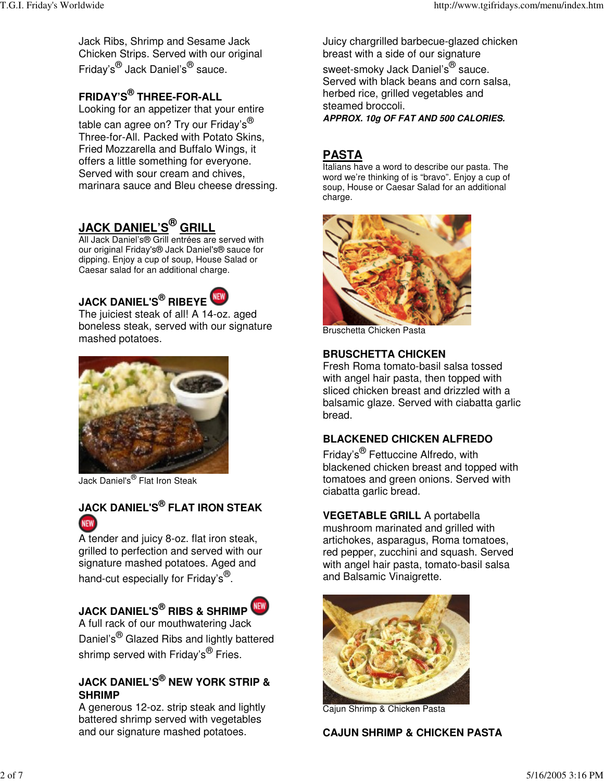Jack Ribs, Shrimp and Sesame Jack Chicken Strips. Served with our original Friday's® Jack Daniel's<sup>®</sup> sauce.

# **FRIDAY'S ® THREE-FOR-ALL**

Looking for an appetizer that your entire table can agree on? Try our Friday's $^\circledR$ Three-for-All. Packed with Potato Skins, Fried Mozzarella and Buffalo Wings, it offers a little something for everyone. Served with sour cream and chives, marinara sauce and Bleu cheese dressing.

# **JACK DANIEL'S ® GRILL**

All Jack Daniel's® Grill entrées are served with our original Friday's® Jack Daniel's® sauce for dipping. Enjoy a cup of soup, House Salad or Caesar salad for an additional charge.



The juiciest steak of all! A 14-oz. aged boneless steak, served with our signature mashed potatoes.



Jack Daniel's ® Flat Iron Steak

### **JACK DANIEL'S ® FLAT IRON STEAK NEW**

A tender and juicy 8-oz. flat iron steak, grilled to perfection and served with our signature mashed potatoes. Aged and hand-cut especially for Friday's<sup>®</sup>.

# **JACK DANIEL'S ® RIBS & SHRIMP**



A full rack of our mouthwatering Jack Daniel's<sup>®</sup> Glazed Ribs and lightly battered shrimp served with Friday's<sup>®</sup> Fries.

### **JACK DANIEL'S ® NEW YORK STRIP & SHRIMP**

A generous 12-oz. strip steak and lightly battered shrimp served with vegetables and our signature mashed potatoes.

Juicy chargrilled barbecue-glazed chicken breast with a side of our signature

sweet-smoky Jack Daniel's<sup>®</sup> sauce. Served with black beans and corn salsa, herbed rice, grilled vegetables and steamed broccoli. *APPROX. 10g OF FAT AND 500 CALORIES.*

# **PASTA**

Italians have a word to describe our pasta. The word we're thinking of is "bravo". Enjoy a cup of soup, House or Caesar Salad for an additional charge.



Bruschetta Chicken Pasta

#### **BRUSCHETTA CHICKEN**

Fresh Roma tomato-basil salsa tossed with angel hair pasta, then topped with sliced chicken breast and drizzled with a balsamic glaze. Served with ciabatta garlic bread.

### **BLACKENED CHICKEN ALFREDO**

Friday's<sup>®</sup> Fettuccine Alfredo, with blackened chicken breast and topped with tomatoes and green onions. Served with ciabatta garlic bread.

### **VEGETABLE GRILL** A portabella

mushroom marinated and grilled with artichokes, asparagus, Roma tomatoes, red pepper, zucchini and squash. Served with angel hair pasta, tomato-basil salsa and Balsamic Vinaigrette.



Cajun Shrimp & Chicken Pasta

### **CAJUN SHRIMP & CHICKEN PASTA**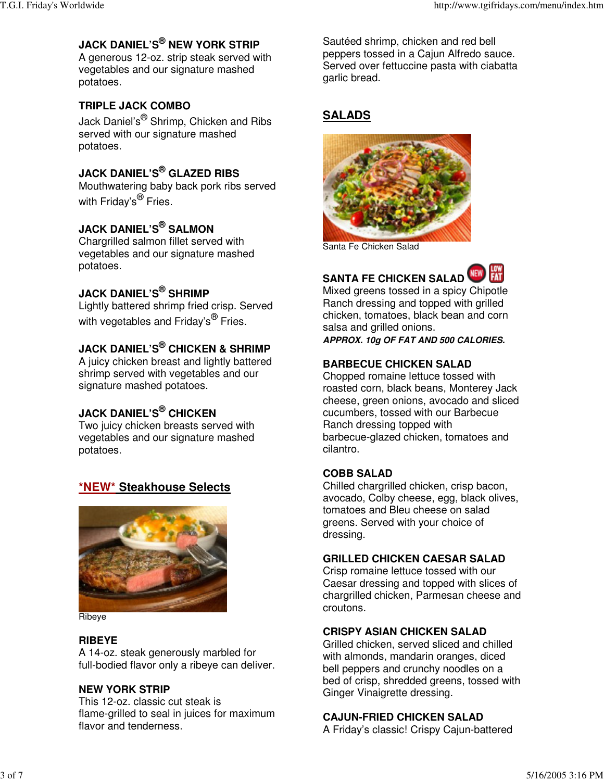### **JACK DANIEL'S ® NEW YORK STRIP**

A generous 12-oz. strip steak served with vegetables and our signature mashed potatoes.

### **TRIPLE JACK COMBO**

Jack Daniel's<sup>®</sup> Shrimp, Chicken and Ribs served with our signature mashed potatoes.

### **JACK DANIEL'S ® GLAZED RIBS**

Mouthwatering baby back pork ribs served with Friday's<sup>®</sup> Fries.

### **JACK DANIEL'S ® SALMON**

Chargrilled salmon fillet served with vegetables and our signature mashed potatoes.

### **JACK DANIEL'S ® SHRIMP**

Lightly battered shrimp fried crisp. Served with vegetables and Friday's<sup>®</sup> Fries.

### **JACK DANIEL'S ® CHICKEN & SHRIMP**

A juicy chicken breast and lightly battered shrimp served with vegetables and our signature mashed potatoes.

### **JACK DANIEL'S ® CHICKEN**

Two juicy chicken breasts served with vegetables and our signature mashed potatoes.

### **\*NEW\* Steakhouse Selects**



**Ribeve** 

#### **RIBEYE**

A 14-oz. steak generously marbled for full-bodied flavor only a ribeye can deliver.

#### **NEW YORK STRIP**

This 12-oz. classic cut steak is flame-grilled to seal in juices for maximum flavor and tenderness.

Sautéed shrimp, chicken and red bell peppers tossed in a Cajun Alfredo sauce. Served over fettuccine pasta with ciabatta garlic bread.

### **SALADS**



Santa Fe Chicken Salad



**SANTA FE CHICKEN SALAD** Mixed greens tossed in a spicy Chipotle Ranch dressing and topped with grilled chicken, tomatoes, black bean and corn salsa and grilled onions.

*APPROX. 10g OF FAT AND 500 CALORIES.*

#### **BARBECUE CHICKEN SALAD**

Chopped romaine lettuce tossed with roasted corn, black beans, Monterey Jack cheese, green onions, avocado and sliced cucumbers, tossed with our Barbecue Ranch dressing topped with barbecue-glazed chicken, tomatoes and cilantro.

#### **COBB SALAD**

Chilled chargrilled chicken, crisp bacon, avocado, Colby cheese, egg, black olives, tomatoes and Bleu cheese on salad greens. Served with your choice of dressing.

#### **GRILLED CHICKEN CAESAR SALAD**

Crisp romaine lettuce tossed with our Caesar dressing and topped with slices of chargrilled chicken, Parmesan cheese and croutons.

#### **CRISPY ASIAN CHICKEN SALAD**

Grilled chicken, served sliced and chilled with almonds, mandarin oranges, diced bell peppers and crunchy noodles on a bed of crisp, shredded greens, tossed with Ginger Vinaigrette dressing.

#### **CAJUN-FRIED CHICKEN SALAD**

A Friday's classic! Crispy Cajun-battered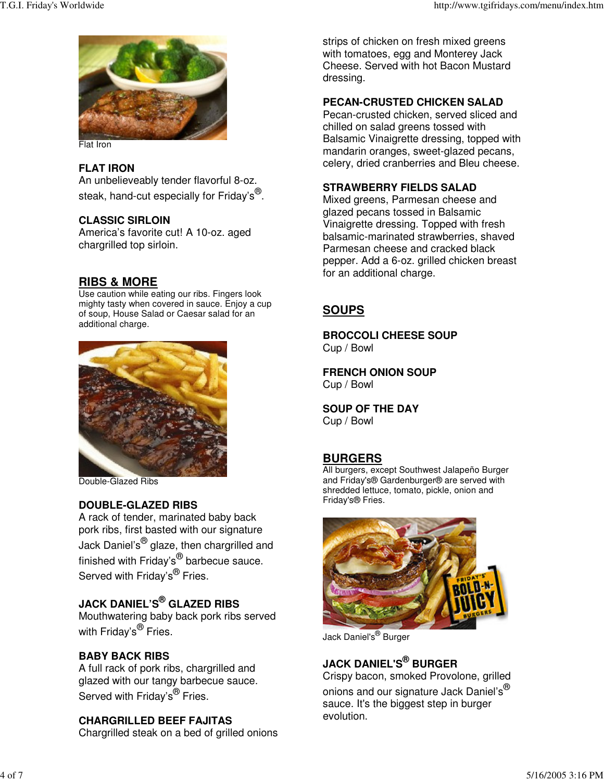

Flat Iron

#### **FLAT IRON**

An unbelieveably tender flavorful 8-oz. steak, hand-cut especially for Friday's $^\circledR$ .

#### **CLASSIC SIRLOIN**

America's favorite cut! A 10-oz. aged chargrilled top sirloin.

### **RIBS & MORE**

Use caution while eating our ribs. Fingers look mighty tasty when covered in sauce. Enjoy a cup of soup, House Salad or Caesar salad for an additional charge.



Double-Glazed Ribs

#### **DOUBLE-GLAZED RIBS**

A rack of tender, marinated baby back pork ribs, first basted with our signature Jack Daniel's<sup>®</sup> glaze, then chargrilled and finished with Friday's<sup>®</sup> barbecue sauce. Served with Friday's<sup>®</sup> Fries.

### **JACK DANIEL'S ® GLAZED RIBS**

Mouthwatering baby back pork ribs served with Friday's<sup>®</sup> Fries.

### **BABY BACK RIBS**

A full rack of pork ribs, chargrilled and glazed with our tangy barbecue sauce. Served with Friday's<sup>®</sup> Fries.

#### **CHARGRILLED BEEF FAJITAS**

Chargrilled steak on a bed of grilled onions

strips of chicken on fresh mixed greens with tomatoes, egg and Monterey Jack Cheese. Served with hot Bacon Mustard dressing.

#### **PECAN-CRUSTED CHICKEN SALAD**

Pecan-crusted chicken, served sliced and chilled on salad greens tossed with Balsamic Vinaigrette dressing, topped with mandarin oranges, sweet-glazed pecans, celery, dried cranberries and Bleu cheese.

#### **STRAWBERRY FIELDS SALAD**

Mixed greens, Parmesan cheese and glazed pecans tossed in Balsamic Vinaigrette dressing. Topped with fresh balsamic-marinated strawberries, shaved Parmesan cheese and cracked black pepper. Add a 6-oz. grilled chicken breast for an additional charge.

### **SOUPS**

**BROCCOLI CHEESE SOUP** Cup / Bowl

**FRENCH ONION SOUP** Cup / Bowl

**SOUP OF THE DAY** Cup / Bowl

### **BURGERS**

All burgers, except Southwest Jalapeño Burger and Friday's® Gardenburger® are served with shredded lettuce, tomato, pickle, onion and Friday's® Fries.



Jack Daniel's ® Burger

### **JACK DANIEL'S ® BURGER**

Crispy bacon, smoked Provolone, grilled onions and our signature Jack Daniel's $^\circledR$ sauce. It's the biggest step in burger evolution.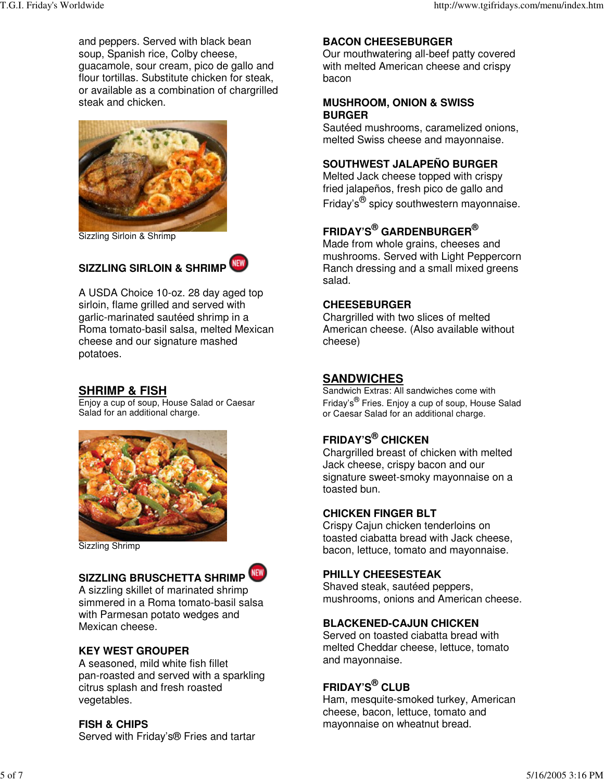and peppers. Served with black bean soup, Spanish rice, Colby cheese, guacamole, sour cream, pico de gallo and flour tortillas. Substitute chicken for steak, or available as a combination of chargrilled steak and chicken.



Sizzling Sirloin & Shrimp

### **SIZZLING SIRLOIN & SHRIMP**

A USDA Choice 10-oz. 28 day aged top sirloin, flame grilled and served with garlic-marinated sautéed shrimp in a Roma tomato-basil salsa, melted Mexican cheese and our signature mashed potatoes.

#### **SHRIMP & FISH**

Enjoy a cup of soup, House Salad or Caesar Salad for an additional charge.



Sizzling Shrimp

# **SIZZLING BRUSCHETTA SHRIMP**



A sizzling skillet of marinated shrimp simmered in a Roma tomato-basil salsa with Parmesan potato wedges and Mexican cheese.

#### **KEY WEST GROUPER**

A seasoned, mild white fish fillet pan-roasted and served with a sparkling citrus splash and fresh roasted vegetables.

#### **FISH & CHIPS**

Served with Friday's® Fries and tartar

#### **BACON CHEESEBURGER**

Our mouthwatering all-beef patty covered with melted American cheese and crispy bacon

#### **MUSHROOM, ONION & SWISS BURGER**

Sautéed mushrooms, caramelized onions, melted Swiss cheese and mayonnaise.

#### **SOUTHWEST JALAPEÑO BURGER**

Melted Jack cheese topped with crispy fried jalapeños, fresh pico de gallo and Friday's<sup>®</sup> spicy southwestern mayonnaise.

### **FRIDAY'S ® GARDENBURGER ®**

Made from whole grains, cheeses and mushrooms. Served with Light Peppercorn Ranch dressing and a small mixed greens salad.

#### **CHEESEBURGER**

Chargrilled with two slices of melted American cheese. (Also available without cheese)

#### **SANDWICHES**

Sandwich Extras: All sandwiches come with Friday's® Fries. Enjoy a cup of soup, House Salad or Caesar Salad for an additional charge.

### **FRIDAY'S ® CHICKEN**

Chargrilled breast of chicken with melted Jack cheese, crispy bacon and our signature sweet-smoky mayonnaise on a toasted bun.

#### **CHICKEN FINGER BLT**

Crispy Cajun chicken tenderloins on toasted ciabatta bread with Jack cheese, bacon, lettuce, tomato and mayonnaise.

#### **PHILLY CHEESESTEAK**

Shaved steak, sautéed peppers, mushrooms, onions and American cheese.

#### **BLACKENED-CAJUN CHICKEN**

Served on toasted ciabatta bread with melted Cheddar cheese, lettuce, tomato and mayonnaise.

### **FRIDAY'S ® CLUB**

Ham, mesquite-smoked turkey, American cheese, bacon, lettuce, tomato and mayonnaise on wheatnut bread.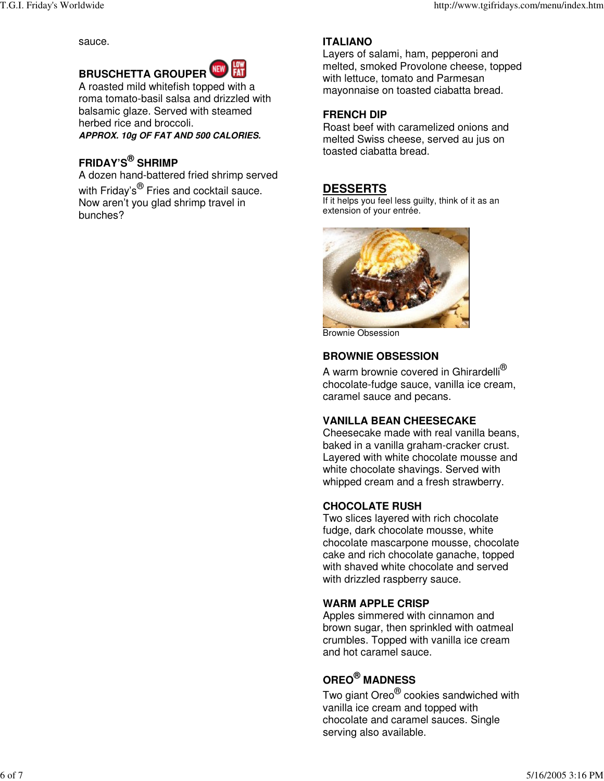sauce.



A roasted mild whitefish topped with a roma tomato-basil salsa and drizzled with balsamic glaze. Served with steamed herbed rice and broccoli. *APPROX. 10g OF FAT AND 500 CALORIES.*

### **FRIDAY'S ® SHRIMP**

A dozen hand-battered fried shrimp served with Friday's<sup>®</sup> Fries and cocktail sauce. Now aren't you glad shrimp travel in bunches?

### **ITALIANO**

Layers of salami, ham, pepperoni and melted, smoked Provolone cheese, topped with lettuce, tomato and Parmesan mayonnaise on toasted ciabatta bread.

#### **FRENCH DIP**

Roast beef with caramelized onions and melted Swiss cheese, served au jus on toasted ciabatta bread.

### **DESSERTS**

If it helps you feel less guilty, think of it as an extension of your entrée.



Brownie Obsession

#### **BROWNIE OBSESSION**

A warm brownie covered in Ghirardelli $^\circledR$ chocolate-fudge sauce, vanilla ice cream, caramel sauce and pecans.

#### **VANILLA BEAN CHEESECAKE**

Cheesecake made with real vanilla beans, baked in a vanilla graham-cracker crust. Layered with white chocolate mousse and white chocolate shavings. Served with whipped cream and a fresh strawberry.

#### **CHOCOLATE RUSH**

Two slices layered with rich chocolate fudge, dark chocolate mousse, white chocolate mascarpone mousse, chocolate cake and rich chocolate ganache, topped with shaved white chocolate and served with drizzled raspberry sauce.

### **WARM APPLE CRISP**

Apples simmered with cinnamon and brown sugar, then sprinkled with oatmeal crumbles. Topped with vanilla ice cream and hot caramel sauce.

# **OREO ® MADNESS**

Two giant Oreo<sup>®</sup> cookies sandwiched with vanilla ice cream and topped with chocolate and caramel sauces. Single serving also available.